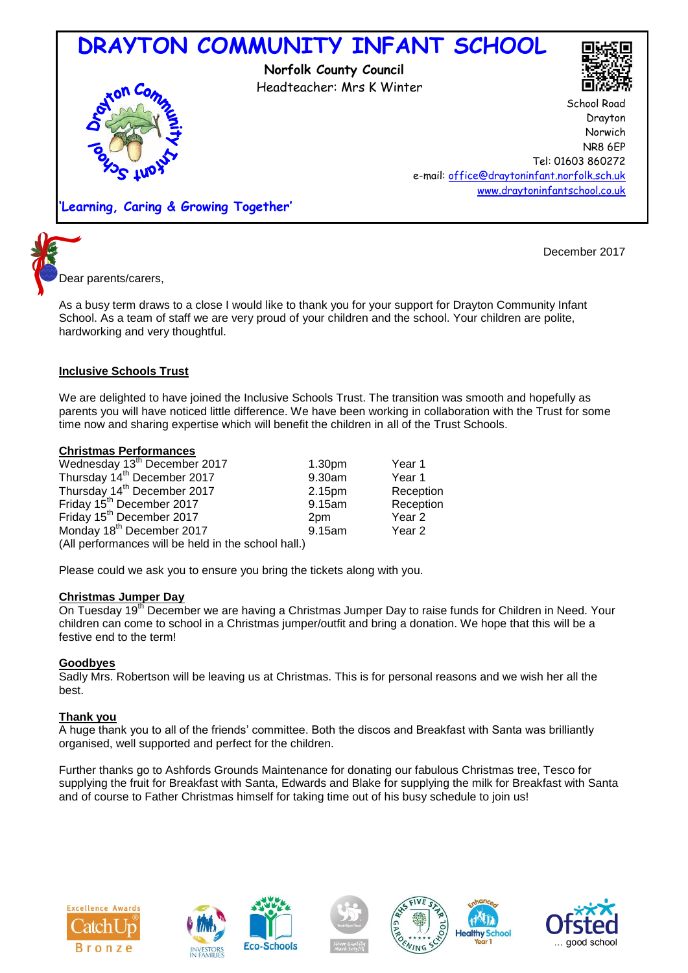



December 2017

Dear parents/carers,

As a busy term draws to a close I would like to thank you for your support for Drayton Community Infant School. As a team of staff we are very proud of your children and the school. Your children are polite, hardworking and very thoughtful.

# **Inclusive Schools Trust**

We are delighted to have joined the Inclusive Schools Trust. The transition was smooth and hopefully as parents you will have noticed little difference. We have been working in collaboration with the Trust for some time now and sharing expertise which will benefit the children in all of the Trust Schools.

## **Christmas Performances**

| Wednesday 13 <sup>th</sup> December 2017            | 1.30 <sub>pm</sub> | Year 1    |
|-----------------------------------------------------|--------------------|-----------|
| Thursday 14 <sup>th</sup> December 2017             | 9.30am             | Year 1    |
| Thursday 14 <sup>th</sup> December 2017             | 2.15pm             | Reception |
| Friday 15 <sup>th</sup> December 2017               | 9.15am             | Reception |
| Friday 15 <sup>th</sup> December 2017               | 2 <sub>pm</sub>    | Year 2    |
| Monday 18 <sup>th</sup> December 2017               | 9.15am             | Year 2    |
| (All performances will be held in the school hall.) |                    |           |

Please could we ask you to ensure you bring the tickets along with you.

## **Christmas Jumper Day**

On Tuesday 19<sup>th</sup> December we are having a Christmas Jumper Day to raise funds for Children in Need. Your children can come to school in a Christmas jumper/outfit and bring a donation. We hope that this will be a festive end to the term!

## **Goodbyes**

Sadly Mrs. Robertson will be leaving us at Christmas. This is for personal reasons and we wish her all the best.

## **Thank you**

A huge thank you to all of the friends' committee. Both the discos and Breakfast with Santa was brilliantly organised, well supported and perfect for the children.

Further thanks go to Ashfords Grounds Maintenance for donating our fabulous Christmas tree, Tesco for supplying the fruit for Breakfast with Santa, Edwards and Blake for supplying the milk for Breakfast with Santa and of course to Father Christmas himself for taking time out of his busy schedule to join us!





**Eco-Schools**